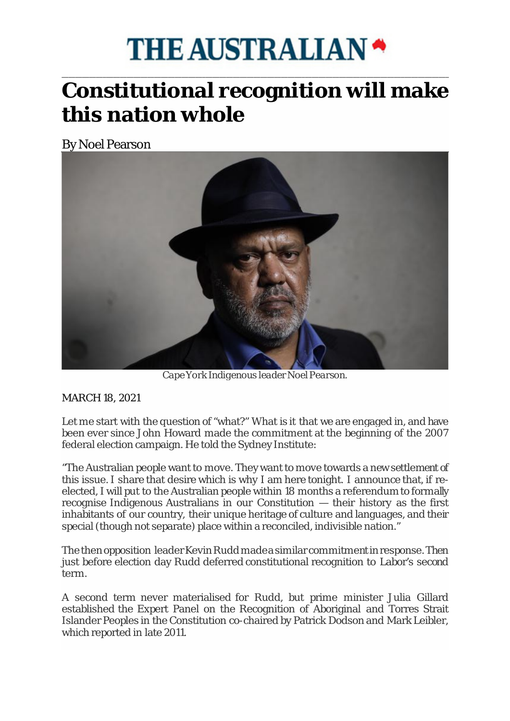## **THE AUSTRALIAN \***

## \_\_\_\_\_\_\_\_\_\_\_\_\_\_\_\_\_\_\_\_\_\_\_\_\_\_\_\_\_\_\_\_\_\_\_\_\_\_\_\_\_\_\_\_\_\_\_\_\_\_\_\_\_\_\_\_\_\_\_\_\_\_\_\_\_\_\_\_\_\_\_\_\_\_\_\_\_\_\_\_\_\_\_\_\_\_\_\_\_\_\_\_\_\_\_\_\_\_\_\_\_\_\_\_\_\_\_\_\_\_\_\_\_ **Constitutional recognition will make this nation whole**

By Noel Pearson



*Cape York Indigenous leader Noel Pearson.*

## MARCH 18, 2021

Let me start with the question of "what?" What is it that we are engaged in, and have been ever since John Howard made the commitment at the beginning of the 2007 federal election campaign. He told the Sydney Institute:

"The Australian people want to move. They want to move towards a new settlement of this issue. I share that desire which is why I am here tonight. I announce that, if reelected, I will put to the Australian people within 18 months a referendum to formally recognise Indigenous Australians in our Constitution — their history as the first inhabitants of our country, their unique heritage of culture and languages, and their special (though not separate) place within a reconciled, indivisible nation."

The then opposition leader Kevin Rudd made a similar commitment in response. Then just before election day Rudd deferred constitutional recognition to Labor's second term.

A second term never materialised for Rudd, but prime minister Julia Gillard established the Expert Panel on the Recognition of Aboriginal and Torres Strait Islander Peoples in the Constitution co-chaired by Patrick Dodson and Mark Leibler, which reported in late 2011.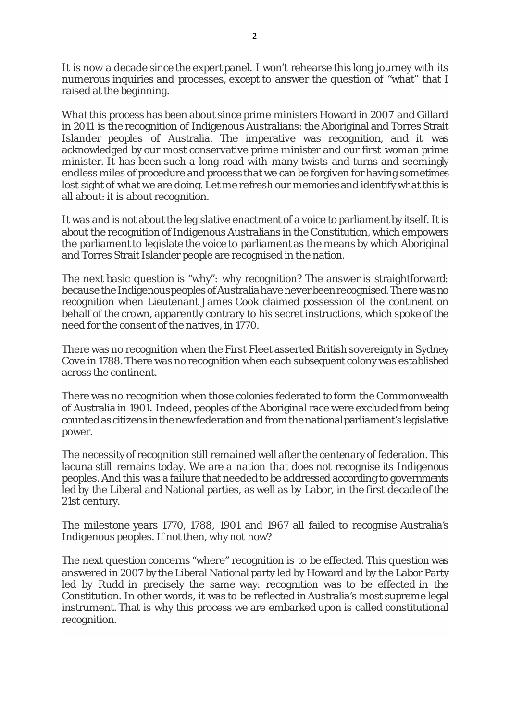It is now a decade since the expert panel. I won't rehearse this long journey with its numerous inquiries and processes, except to answer the question of "what" that I raised at the beginning.

What this process has been about since prime ministers Howard in 2007 and Gillard in 2011 is the recognition of Indigenous Australians: the Aboriginal and Torres Strait Islander peoples of Australia. The imperative was recognition, and it was acknowledged by our most conservative prime minister and our first woman prime minister. It has been such a long road with many twists and turns and seemingly endless miles of procedure and process that we can be forgiven for having sometimes lost sight of what we are doing. Let me refresh our memories and identify what this is all about: it is about recognition.

It was and is not about the legislative enactment of a voice to parliament by itself. It is about the recognition of Indigenous Australians in the Constitution, which empowers the parliament to legislate the voice to parliament as the means by which Aboriginal and Torres Strait Islander people are recognised in the nation.

The next basic question is "why": why recognition? The answer is straightforward: because the Indigenous peoples of Australia have never been recognised. There was no recognition when Lieutenant James Cook claimed possession of the continent on behalf of the crown, apparently contrary to his secret instructions, which spoke of the need for the consent of the natives, in 1770.

There was no recognition when the First Fleet asserted British sovereignty in Sydney Cove in 1788. There was no recognition when each subsequent colony was established across the continent.

There was no recognition when those colonies federated to form the Commonwealth of Australia in 1901. Indeed, peoples of the Aboriginal race were excluded from being counted as citizens in the new federation and from the national parliament's legislative power.

The necessity of recognition still remained well after the centenary of federation. This lacuna still remains today. We are a nation that does not recognise its Indigenous peoples. And this was a failure that needed to be addressed according to governments led by the Liberal and National parties, as well as by Labor, in the first decade of the 21st century.

The milestone years 1770, 1788, 1901 and 1967 all failed to recognise Australia's Indigenous peoples. If not then, why not now?

The next question concerns "where" recognition is to be effected. This question was answered in 2007 by the Liberal National party led by Howard and by the Labor Party led by Rudd in precisely the same way: recognition was to be effected in the Constitution. In other words, it was to be reflected in Australia's most supreme legal instrument. That is why this process we are embarked upon is called constitutional recognition.